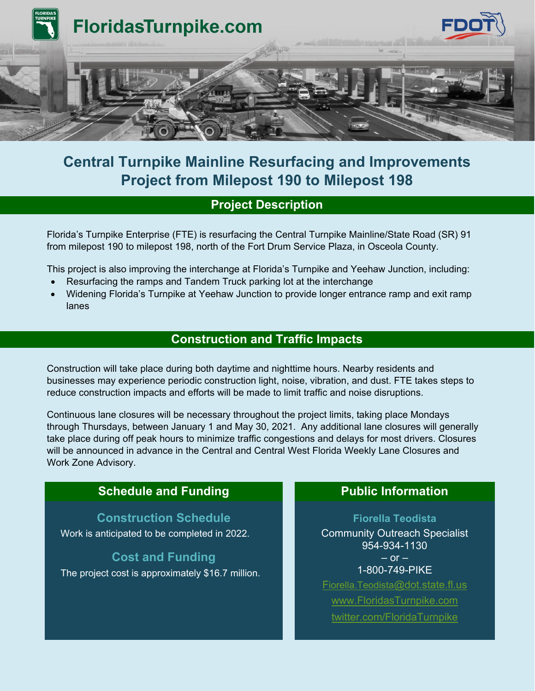

## **Central Turnpike Mainline Resurfacing and Improvements Project from Milepost 190 to Milepost 198**

### **Project Description**

Florida's Turnpike Enterprise (FTE) is resurfacing the Central Turnpike Mainline/State Road (SR) 91 from milepost 190 to milepost 198, north of the Fort Drum Service Plaza, in Osceola County.

This project is also improving the interchange at Florida's Turnpike and Yeehaw Junction, including:

- Resurfacing the ramps and Tandem Truck parking lot at the interchange
- Widening Florida's Turnpike at Yeehaw Junction to provide longer entrance ramp and exit ramp lanes

#### **Construction and Traffic Impacts**

Construction will take place during both daytime and nighttime hours. Nearby residents and businesses may experience periodic construction light, noise, vibration, and dust. FTE takes steps to reduce construction impacts and efforts will be made to limit traffic and noise disruptions.

Continuous lane closures will be necessary throughout the project limits, taking place Mondays through Thursdays, between January 1 and May 30, 2021. Any additional lane closures will generally take place during off peak hours to minimize traffic congestions and delays for most drivers. Closures will be announced in advance in the Central and Central West Florida Weekly Lane Closures and Work Zone Advisory.

#### **Schedule and Funding <b>Public Public Information**

**Construction Schedule** Work is anticipated to be completed in 2022.

**Cost and Funding** The project cost is approximately \$16.7 million.

**Fiorella Teodista** Community Outreach Specialist 954-934-1130  $-$  or  $-$ 1-800-749-PIKE [Fiorella.Teodista@dot.state.fl.us](mailto:Fiorella.Teodista@dot.state.fl.us) [www.FloridasTurnpike.com](http://www.floridasturnpike.com/) [twitter.com/FloridaTurnpike](https://twitter.com/FloridaTurnpike)